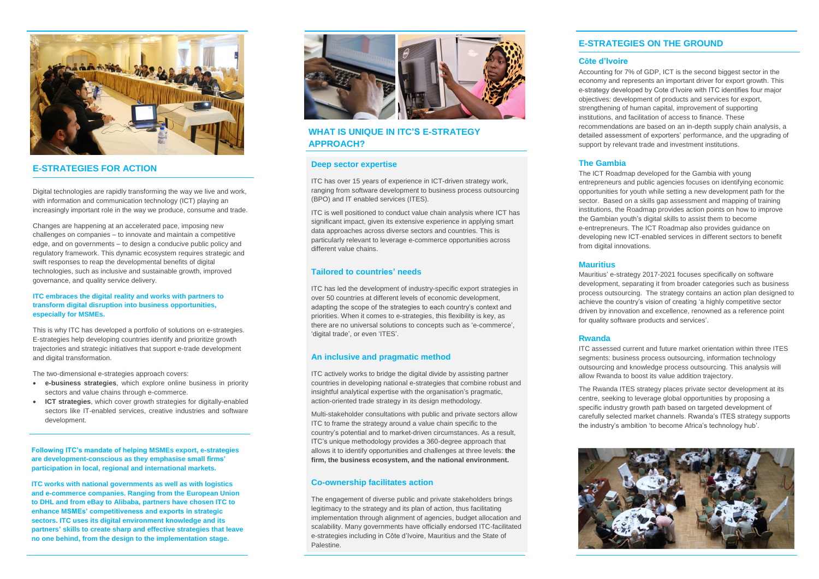## **E-STRATEGIES ON THE GROUND**

#### **Côte d'Ivoire**

Accounting for 7% of GDP, ICT is the second biggest sector in the economy and represents an important driver for export growth. This e-strategy developed by Cote d'Ivoire with ITC identifies four major objectives: development of products and services for export, strengthening of human capital, improvement of supporting institutions, and facilitation of access to finance. These recommendations are based on an in-depth supply chain analysis, a detailed assessment of exporters' performance, and the upgrading of support by relevant trade and investment institutions.

#### **The Gambia**

The ICT Roadmap developed for the Gambia with young entrepreneurs and public agencies focuses on identifying economic opportunities for youth while setting a new development path for the sector. Based on a skills gap assessment and mapping of training institutions, the Roadmap provides action points on how to improve the Gambian youth's digital skills to assist them to become e-entrepreneurs. The ICT Roadmap also provides guidance on developing new ICT-enabled services in different sectors to benefit from digital innovations.

#### **Mauritius**

Mauritius' e-strategy 2017-2021 focuses specifically on software development, separating it from broader categories such as business process outsourcing. The strategy contains an action plan designed to achieve the country's vision of creating 'a highly competitive sector driven by innovation and excellence, renowned as a reference point for quality software products and services'.



#### **Rwanda**

ITC assessed current and future market orientation within three ITES segments: business process outsourcing, information technology outsourcing and knowledge process outsourcing. This analysis will allow Rwanda to boost its value addition trajectory.

The Rwanda ITES strategy places private sector development at its centre, seeking to leverage global opportunities by proposing a specific industry growth path based on targeted development of carefully selected market channels. Rwanda's ITES strategy supports the industry's ambition 'to become Africa's technology hub'.





#### **E-STRATEGIES FOR ACTION**

Digital technologies are rapidly transforming the way we live and work, with information and communication technology (ICT) playing an increasingly important role in the way we produce, consume and trade.

Changes are happening at an accelerated pace, imposing new challenges on companies – to innovate and maintain a competitive edge, and on governments – to design a conducive public policy and regulatory framework. This dynamic ecosystem requires strategic and swift responses to reap the developmental benefits of digital technologies, such as inclusive and sustainable growth, improved governance, and quality service delivery.

#### **ITC embraces the digital reality and works with partners to transform digital disruption into business opportunities, especially for MSMEs.**

This is why ITC has developed a portfolio of solutions on e-strategies. E-strategies help developing countries identify and prioritize growth trajectories and strategic initiatives that support e-trade development and digital transformation.

The two-dimensional e-strategies approach covers:

- **e-business strategies**, which explore online business in priority sectors and value chains through e-commerce.
- **ICT strategies**, which cover growth strategies for digitally-enabled sectors like IT-enabled services, creative industries and software development.

**Following ITC's mandate of helping MSMEs export, e-strategies are development-conscious as they emphasise small firms' participation in local, regional and international markets.** 

**ITC works with national governments as well as with logistics and e-commerce companies. Ranging from the European Union to DHL and from eBay to Alibaba, partners have chosen ITC to enhance MSMEs' competitiveness and exports in strategic sectors. ITC uses its digital environment knowledge and its partners' skills to create sharp and effective strategies that leave no one behind, from the design to the implementation stage.** 



#### **Deep sector expertise**

ITC has over 15 years of experience in ICT-driven strategy work, ranging from software development to business process outsourcing (BPO) and IT enabled services (ITES).

ITC is well positioned to conduct value chain analysis where ICT has significant impact, given its extensive experience in applying smart data approaches across diverse sectors and countries. This is particularly relevant to leverage e-commerce opportunities across different value chains.

#### **Tailored to countries' needs**

ITC has led the development of industry-specific export strategies in over 50 countries at different levels of economic development, adapting the scope of the strategies to each country's context and priorities. When it comes to e-strategies, this flexibility is key, as there are no universal solutions to concepts such as 'e-commerce', 'digital trade', or even 'ITES'.

#### **An inclusive and pragmatic method**

ITC actively works to bridge the digital divide by assisting partner countries in developing national e-strategies that combine robust and insightful analytical expertise with the organisation's pragmatic, action-oriented trade strategy in its design methodology.

Multi-stakeholder consultations with public and private sectors allow ITC to frame the strategy around a value chain specific to the country's potential and to market-driven circumstances. As a result, ITC's unique methodology provides a 360-degree approach that allows it to identify opportunities and challenges at three levels: **the firm, the business ecosystem, and the national environment.**

#### **Co-ownership facilitates action**

The engagement of diverse public and private stakeholders brings legitimacy to the strategy and its plan of action, thus facilitating implementation through alignment of agencies, budget allocation and scalability. Many governments have officially endorsed ITC-facilitated e-strategies including in Côte d'Ivoire, Mauritius and the State of Palestine.

### **WHAT IS UNIQUE IN ITC'S E-STRATEGY APPROACH?**